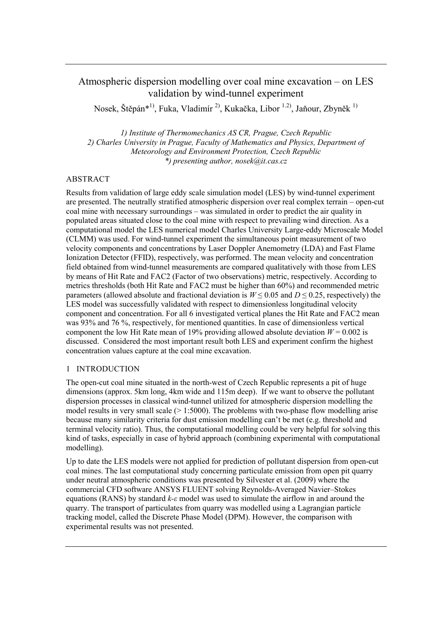# Atmospheric dispersion modelling over coal mine excavation – on LES validation by wind-tunnel experiment

Nosek, Štěpán\*<sup>1)</sup>, Fuka, Vladimír<sup>2)</sup>, Kukačka, Libor <sup>1.2)</sup>, Jaňour, Zbyněk<sup>1)</sup>

*1) Institute of Thermomechanics AS CR, Prague, Czech Republic 2) Charles University in Prague, Faculty of Mathematics and Physics, Department of Meteorology and Environment Protection, Czech Republic \*) presenting author, nosek@it.cas.cz*

## ABSTRACT

Results from validation of large eddy scale simulation model (LES) by wind-tunnel experiment are presented. The neutrally stratified atmospheric dispersion over real complex terrain – open-cut coal mine with necessary surroundings – was simulated in order to predict the air quality in populated areas situated close to the coal mine with respect to prevailing wind direction. As a computational model the LES numerical model Charles University Large-eddy Microscale Model (CLMM) was used. For wind-tunnel experiment the simultaneous point measurement of two velocity components and concentrations by Laser Doppler Anemometry (LDA) and Fast Flame Ionization Detector (FFID), respectively, was performed. The mean velocity and concentration field obtained from wind-tunnel measurements are compared qualitatively with those from LES by means of Hit Rate and FAC2 (Factor of two observations) metric, respectively. According to metrics thresholds (both Hit Rate and FAC2 must be higher than 60%) and recommended metric parameters (allowed absolute and fractional deviation is  $W \le 0.05$  and  $D \le 0.25$ , respectively) the LES model was successfully validated with respect to dimensionless longitudinal velocity component and concentration. For all 6 investigated vertical planes the Hit Rate and FAC2 mean was 93% and 76 %, respectively, for mentioned quantities. In case of dimensionless vertical component the low Hit Rate mean of 19% providing allowed absolute deviation  $W = 0.002$  is discussed. Considered the most important result both LES and experiment confirm the highest concentration values capture at the coal mine excavation.

#### 1 INTRODUCTION

The open-cut coal mine situated in the north-west of Czech Republic represents a pit of huge dimensions (approx. 5km long, 4km wide and 115m deep). If we want to observe the pollutant dispersion processes in classical wind-tunnel utilized for atmospheric dispersion modelling the model results in very small scale  $(>1:5000)$ . The problems with two-phase flow modelling arise because many similarity criteria for dust emission modelling can't be met (e.g. threshold and terminal velocity ratio). Thus, the computational modelling could be very helpful for solving this kind of tasks, especially in case of hybrid approach (combining experimental with computational modelling).

Up to date the LES models were not applied for prediction of pollutant dispersion from open-cut coal mines. The last computational study concerning particulate emission from open pit quarry under neutral atmospheric conditions was presented by Silvester et al. (2009) where the commercial CFD software ANSYS FLUENT solving Reynolds-Averaged Navier–Stokes equations (RANS) by standard *k-ε* model was used to simulate the airflow in and around the quarry. The transport of particulates from quarry was modelled using a Lagrangian particle tracking model, called the Discrete Phase Model (DPM). However, the comparison with experimental results was not presented.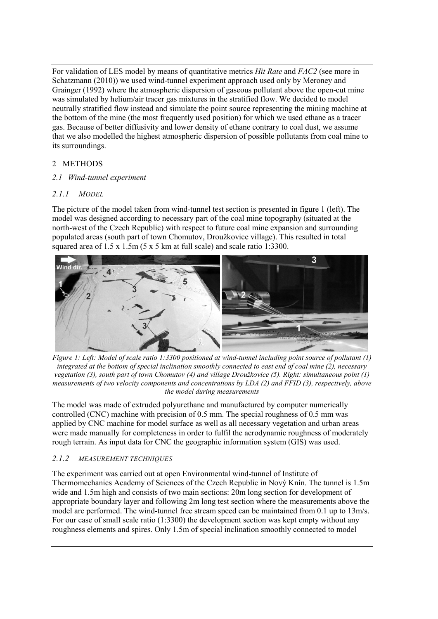For validation of LES model by means of quantitative metrics *Hit Rate* and *FAC2* (see more in Schatzmann (2010)) we used wind-tunnel experiment approach used only by Meroney and Grainger (1992) where the atmospheric dispersion of gaseous pollutant above the open-cut mine was simulated by helium/air tracer gas mixtures in the stratified flow. We decided to model neutrally stratified flow instead and simulate the point source representing the mining machine at the bottom of the mine (the most frequently used position) for which we used ethane as a tracer gas. Because of better diffusivity and lower density of ethane contrary to coal dust, we assume that we also modelled the highest atmospheric dispersion of possible pollutants from coal mine to its surroundings.

## 2 METHODS

## *2.1 Wind-tunnel experiment*

## *2.1.1 MODEL*

The picture of the model taken from wind-tunnel test section is presented in figure 1 (left). The model was designed according to necessary part of the coal mine topography (situated at the north-west of the Czech Republic) with respect to future coal mine expansion and surrounding populated areas (south part of town Chomutov, Droužkovice village). This resulted in total squared area of 1.5 x 1.5m (5 x 5 km at full scale) and scale ratio 1:3300.



*Figure 1: Left: Model of scale ratio 1:3300 positioned at wind-tunnel including point source of pollutant (1) integrated at the bottom of special inclination smoothly connected to east end of coal mine (2), necessary vegetation (3), south part of town Chomutov (4) and village Droužkovice (5). Right: simultaneous point (1) measurements of two velocity components and concentrations by LDA (2) and FFID (3), respectively, above the model during measurements*

The model was made of extruded polyurethane and manufactured by computer numerically controlled (CNC) machine with precision of 0.5 mm. The special roughness of 0.5 mm was applied by CNC machine for model surface as well as all necessary vegetation and urban areas were made manually for completeness in order to fulfil the aerodynamic roughness of moderately rough terrain. As input data for CNC the geographic information system (GIS) was used.

## *2.1.2 MEASUREMENT TECHNIQUES*

The experiment was carried out at open Environmental wind-tunnel of Institute of Thermomechanics Academy of Sciences of the Czech Republic in Nový Knín. The tunnel is 1.5m wide and 1.5m high and consists of two main sections: 20m long section for development of appropriate boundary layer and following 2m long test section where the measurements above the model are performed. The wind-tunnel free stream speed can be maintained from 0.1 up to 13m/s. For our case of small scale ratio (1:3300) the development section was kept empty without any roughness elements and spires. Only 1.5m of special inclination smoothly connected to model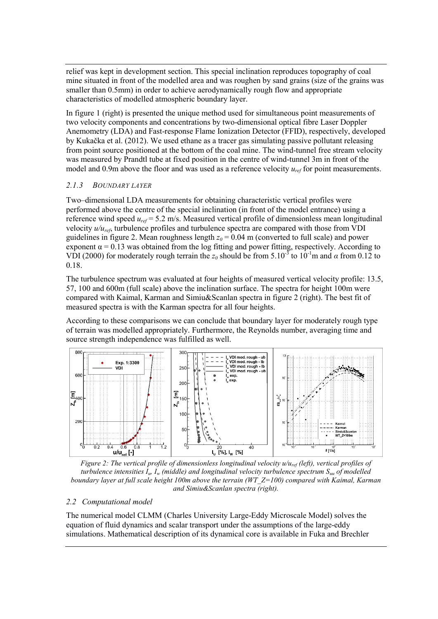relief was kept in development section. This special inclination reproduces topography of coal mine situated in front of the modelled area and was roughen by sand grains (size of the grains was smaller than 0.5mm) in order to achieve aerodynamically rough flow and appropriate characteristics of modelled atmospheric boundary layer.

In figure 1 (right) is presented the unique method used for simultaneous point measurements of two velocity components and concentrations by two-dimensional optical fibre Laser Doppler Anemometry (LDA) and Fast-response Flame Ionization Detector (FFID), respectively, developed by Kukačka et al. (2012). We used ethane as a tracer gas simulating passive pollutant releasing from point source positioned at the bottom of the coal mine. The wind-tunnel free stream velocity was measured by Prandtl tube at fixed position in the centre of wind-tunnel 3m in front of the model and 0.9m above the floor and was used as a reference velocity  $u_{ref}$  for point measurements.

#### *2.1.3 BOUNDARY LAYER*

Two–dimensional LDA measurements for obtaining characteristic vertical profiles were performed above the centre of the special inclination (in front of the model entrance) using a reference wind speed *uref* = 5.2 m/s. Measured vertical profile of dimensionless mean longitudinal velocity *u/uref*, turbulence profiles and turbulence spectra are compared with those from VDI guidelines in figure 2. Mean roughness length  $z_0$  = 0.04 m (converted to full scale) and power exponent  $\alpha = 0.13$  was obtained from the log fitting and power fitting, respectively. According to VDI (2000) for moderately rough terrain the  $z_0$  should be from 5.10<sup>-3</sup> to 10<sup>-1</sup>m and  $\alpha$  from 0.12 to 0.18.

The turbulence spectrum was evaluated at four heights of measured vertical velocity profile: 13.5, 57, 100 and 600m (full scale) above the inclination surface. The spectra for height 100m were compared with Kaimal, Karman and Simiu&Scanlan spectra in figure 2 (right). The best fit of measured spectra is with the Karman spectra for all four heights.

According to these comparisons we can conclude that boundary layer for moderately rough type of terrain was modelled appropriately. Furthermore, the Reynolds number, averaging time and source strength independence was fulfilled as well.



*Figure 2: The vertical profile of dimensionless longitudinal velocity u/uref (left), vertical profiles of turbulence intensities Iu, Iw (middle) and longitudinal velocity turbulence spectrum Suu of modelled boundary layer at full scale height 100m above the terrain (WT\_Z=100) compared with Kaimal, Karman and Simiu&Scanlan spectra (right).*

## *2.2 Computational model*

The numerical model CLMM (Charles University Large-Eddy Microscale Model) solves the equation of fluid dynamics and scalar transport under the assumptions of the large-eddy simulations. Mathematical description of its dynamical core is available in Fuka and Brechler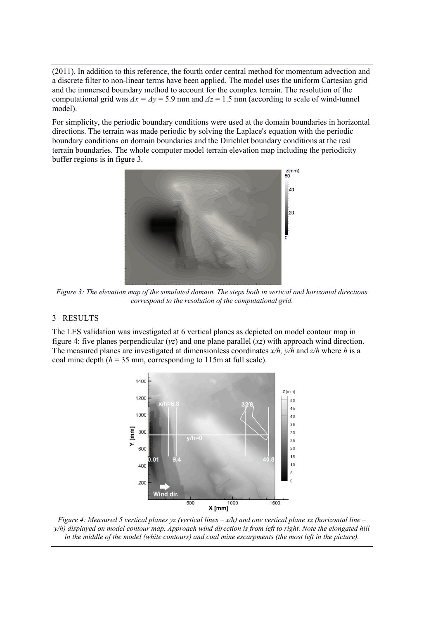(2011). In addition to this reference, the fourth order central method for momentum advection and a discrete filter to non-linear terms have been applied. The model uses the uniform Cartesian grid and the immersed boundary method to account for the complex terrain. The resolution of the computational grid was  $\Delta x = \Delta y = 5.9$  mm and  $\Delta z = 1.5$  mm (according to scale of wind-tunnel model).

For simplicity, the periodic boundary conditions were used at the domain boundaries in horizontal directions. The terrain was made periodic by solving the Laplace's equation with the periodic boundary conditions on domain boundaries and the Dirichlet boundary conditions at the real terrain boundaries. The whole computer model terrain elevation map including the periodicity buffer regions is in figure 3.



*Figure 3: The elevation map of the simulated domain. The steps both in vertical and horizontal directions correspond to the resolution of the computational grid.*

#### 3 RESULTS

The LES validation was investigated at 6 vertical planes as depicted on model contour map in figure 4: five planes perpendicular (*yz*) and one plane parallel (*xz*) with approach wind direction. The measured planes are investigated at dimensionless coordinates *x/h, y/h* and *z/h* where *h* is a coal mine depth  $(h = 35$  mm, corresponding to 115m at full scale).



*Figure 4: Measured 5 vertical planes yz (vertical lines – x/h) and one vertical plane xz (horizontal line – y/h) displayed on model contour map. Approach wind direction is from left to right. Note the elongated hill in the middle of the model (white contours) and coal mine escarpments (the most left in the picture).*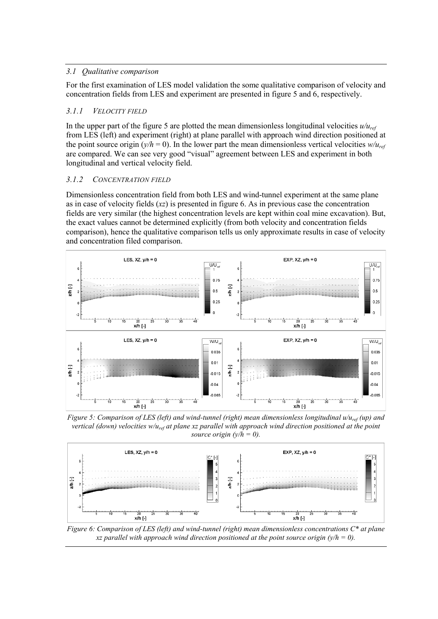## *3.1 Qualitative comparison*

For the first examination of LES model validation the some qualitative comparison of velocity and concentration fields from LES and experiment are presented in figure 5 and 6, respectively.

## *3.1.1 VELOCITY FIELD*

In the upper part of the figure 5 are plotted the mean dimensionless longitudinal velocities *u/uref* from LES (left) and experiment (right) at plane parallel with approach wind direction positioned at the point source origin ( $y/h = 0$ ). In the lower part the mean dimensionless vertical velocities  $w/u_{ref}$ are compared. We can see very good "visual" agreement between LES and experiment in both longitudinal and vertical velocity field.

## *3.1.2 CONCENTRATION FIELD*

Dimensionless concentration field from both LES and wind-tunnel experiment at the same plane as in case of velocity fields (*xz*) is presented in figure 6. As in previous case the concentration fields are very similar (the highest concentration levels are kept within coal mine excavation). But, the exact values cannot be determined explicitly (from both velocity and concentration fields comparison), hence the qualitative comparison tells us only approximate results in case of velocity and concentration filed comparison.



*Figure 5: Comparison of LES (left) and wind-tunnel (right) mean dimensionless longitudinal u/uref (up) and vertical (down) velocities w/uref at plane xz parallel with approach wind direction positioned at the point source origin (y/h = 0).*



*Figure 6: Comparison of LES (left) and wind-tunnel (right) mean dimensionless concentrations C\* at plane xz parallel with approach wind direction positioned at the point source origin (y/h = 0).*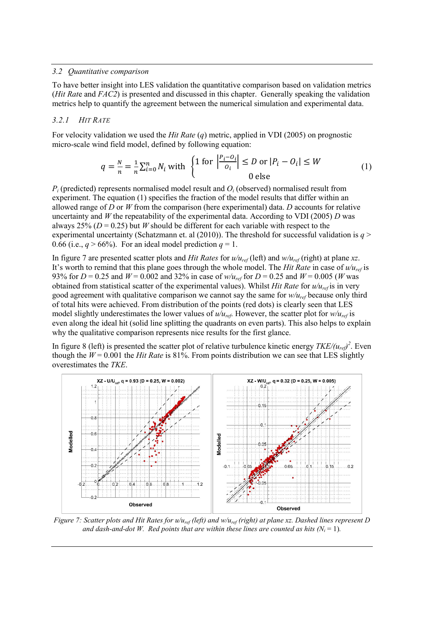#### *3.2 Quantitative comparison*

To have better insight into LES validation the quantitative comparison based on validation metrics (*Hit Rat*e and *FAC2*) is presented and discussed in this chapter. Generally speaking the validation metrics help to quantify the agreement between the numerical simulation and experimental data.

#### *3.2.1 HIT RATE*

For velocity validation we used the *Hit Rate* (*q*) metric, applied in VDI (2005) on prognostic micro-scale wind field model, defined by following equation:

$$
q = \frac{N}{n} = \frac{1}{n} \sum_{i=0}^{n} N_i \text{ with } \begin{cases} 1 \text{ for } \left| \frac{P_i - O_i}{O_i} \right| \le D \text{ or } |P_i - O_i| \le W \\ 0 \text{ else} \end{cases}
$$
 (1)

 $P_i$  (predicted) represents normalised model result and  $O_i$  (observed) normalised result from experiment. The equation (1) specifies the fraction of the model results that differ within an allowed range of *D* or *W* from the comparison (here experimental) data. *D* accounts for relative uncertainty and *W* the repeatability of the experimental data. According to VDI (2005) *D* was always 25% ( $D = 0.25$ ) but *W* should be different for each variable with respect to the experimental uncertainty (Schatzmann et. al (2010)). The threshold for successful validation is  $q$  > 0.66 (i.e.,  $q > 66\%$ ). For an ideal model prediction  $q = 1$ .

In figure 7 are presented scatter plots and *Hit Rates* for *u/uref* (left) and *w/uref* (right) at plane *xz*. It's worth to remind that this plane goes through the whole model. The *Hit Rate* in case of  $u/u_{ref}$  is 93% for  $D = 0.25$  and  $W = 0.002$  and 32% in case of  $w/u_{ref}$  for  $D = 0.25$  and  $W = 0.005$  (*W* was obtained from statistical scatter of the experimental values). Whilst *Hit Rate* for *u/uref* is in very good agreement with qualitative comparison we cannot say the same for *w/uref* because only third of total hits were achieved. From distribution of the points (red dots) is clearly seen that LES model slightly underestimates the lower values of  $u/u_{ref}$ . However, the scatter plot for  $w/u_{ref}$  is even along the ideal hit (solid line splitting the quadrants on even parts). This also helps to explain why the qualitative comparison represents nice results for the first glance.

In figure 8 (left) is presented the scatter plot of relative turbulence kinetic energy  $TKE/(u_{ref})^2$ . Even though the  $W = 0.001$  the *Hit Rate* is 81%. From points distribution we can see that LES slightly overestimates the *TKE*.



*Figure 7: Scatter plots and Hit Rates for u/uref (left) and w/uref (right) at plane xz. Dashed lines represent D and dash-and-dot W. Red points that are within these lines are counted as hits*  $(N_i = 1)$ *.*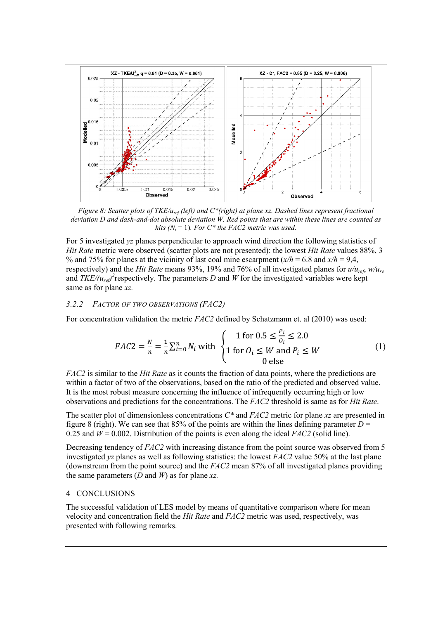

*Figure 8: Scatter plots of TKE/uref (left) and C\*(right) at plane xz. Dashed lines represent fractional deviation D and dash-and-dot absolute deviation W. Red points that are within these lines are counted as hits (N<sub>i</sub>* = 1)*. For C\* the FAC2 metric was used.* 

For 5 investigated *yz* planes perpendicular to approach wind direction the following statistics of *Hit Rate* metric were observed (scatter plots are not presented): the lowest *Hit Rate* values 88%, 3 % and 75% for planes at the vicinity of last coal mine escarpment  $(x/h = 6.8$  and  $x/h = 9.4$ , respectively) and the *Hit Rate* means 93%, 19% and 76% of all investigated planes for *u/uref*, *w/ure* and  $TKE/(u_{ref})^2$  respectively. The parameters *D* and *W* for the investigated variables were kept same as for plane *xz.*

#### *3.2.2 FACTOR OF TWO OBSERVATIONS (FAC2)*

For concentration validation the metric *FAC2* defined by Schatzmann et. al (2010) was used:

$$
FAC2 = \frac{N}{n} = \frac{1}{n} \sum_{i=0}^{n} N_i \text{ with } \begin{cases} 1 \text{ for } 0.5 \le \frac{P_i}{Q_i} \le 2.0\\ 1 \text{ for } Q_i \le W \text{ and } P_i \le W\\ 0 \text{ else} \end{cases} \tag{1}
$$

*FAC2* is similar to the *Hit Rate* as it counts the fraction of data points, where the predictions are within a factor of two of the observations, based on the ratio of the predicted and observed value. It is the most robust measure concerning the influence of infrequently occurring high or low observations and predictions for the concentrations. The *FAC2* threshold is same as for *Hit Rate*.

The scatter plot of dimensionless concentrations *C\** and *FAC2* metric for plane *xz* are presented in figure 8 (right). We can see that 85% of the points are within the lines defining parameter  $D =$ 0.25 and  $W = 0.002$ . Distribution of the points is even along the ideal *FAC2* (solid line).

Decreasing tendency of *FAC2* with increasing distance from the point source was observed from 5 investigated *yz* planes as well as following statistics: the lowest *FAC2* value 50% at the last plane (downstream from the point source) and the *FAC2* mean 87% of all investigated planes providing the same parameters (*D* and *W*) as for plane *xz.*

#### 4 CONCLUSIONS

The successful validation of LES model by means of quantitative comparison where for mean velocity and concentration field the *Hit Rate* and *FAC2* metric was used, respectively, was presented with following remarks.